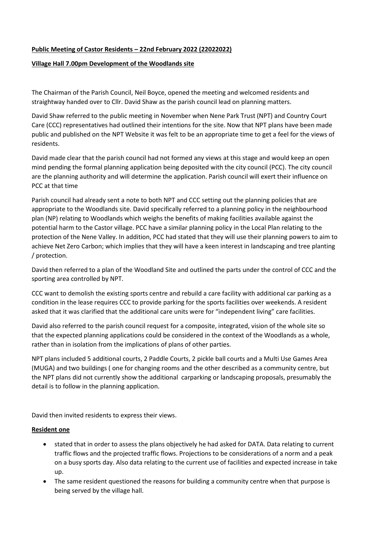# **Public Meeting of Castor Residents – 22nd February 2022 (22022022)**

## **Village Hall 7.00pm Development of the Woodlands site**

The Chairman of the Parish Council, Neil Boyce, opened the meeting and welcomed residents and straightway handed over to Cllr. David Shaw as the parish council lead on planning matters.

David Shaw referred to the public meeting in November when Nene Park Trust (NPT) and Country Court Care (CCC) representatives had outlined their intentions for the site. Now that NPT plans have been made public and published on the NPT Website it was felt to be an appropriate time to get a feel for the views of residents.

David made clear that the parish council had not formed any views at this stage and would keep an open mind pending the formal planning application being deposited with the city council (PCC). The city council are the planning authority and will determine the application. Parish council will exert their influence on PCC at that time

Parish council had already sent a note to both NPT and CCC setting out the planning policies that are appropriate to the Woodlands site. David specifically referred to a planning policy in the neighbourhood plan (NP) relating to Woodlands which weighs the benefits of making facilities available against the potential harm to the Castor village. PCC have a similar planning policy in the Local Plan relating to the protection of the Nene Valley. In addition, PCC had stated that they will use their planning powers to aim to achieve Net Zero Carbon; which implies that they will have a keen interest in landscaping and tree planting / protection.

David then referred to a plan of the Woodland Site and outlined the parts under the control of CCC and the sporting area controlled by NPT.

CCC want to demolish the existing sports centre and rebuild a care facility with additional car parking as a condition in the lease requires CCC to provide parking for the sports facilities over weekends. A resident asked that it was clarified that the additional care units were for "independent living" care facilities.

David also referred to the parish council request for a composite, integrated, vision of the whole site so that the expected planning applications could be considered in the context of the Woodlands as a whole, rather than in isolation from the implications of plans of other parties.

NPT plans included 5 additional courts, 2 Paddle Courts, 2 pickle ball courts and a Multi Use Games Area (MUGA) and two buildings ( one for changing rooms and the other described as a community centre, but the NPT plans did not currently show the additional carparking or landscaping proposals, presumably the detail is to follow in the planning application.

David then invited residents to express their views.

#### **Resident one**

- stated that in order to assess the plans objectively he had asked for DATA. Data relating to current traffic flows and the projected traffic flows. Projections to be considerations of a norm and a peak on a busy sports day. Also data relating to the current use of facilities and expected increase in take up.
- The same resident questioned the reasons for building a community centre when that purpose is being served by the village hall.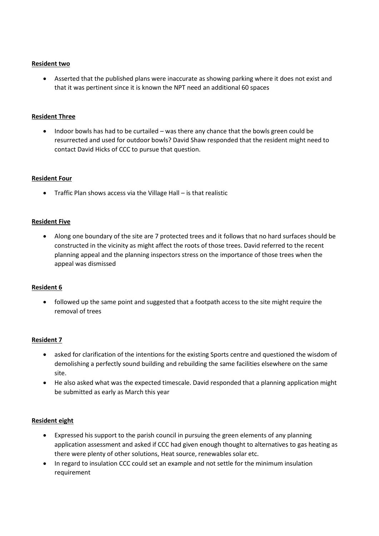### **Resident two**

• Asserted that the published plans were inaccurate as showing parking where it does not exist and that it was pertinent since it is known the NPT need an additional 60 spaces

## **Resident Three**

• Indoor bowls has had to be curtailed – was there any chance that the bowls green could be resurrected and used for outdoor bowls? David Shaw responded that the resident might need to contact David Hicks of CCC to pursue that question.

## **Resident Four**

• Traffic Plan shows access via the Village Hall – is that realistic

## **Resident Five**

• Along one boundary of the site are 7 protected trees and it follows that no hard surfaces should be constructed in the vicinity as might affect the roots of those trees. David referred to the recent planning appeal and the planning inspectors stress on the importance of those trees when the appeal was dismissed

#### **Resident 6**

• followed up the same point and suggested that a footpath access to the site might require the removal of trees

# **Resident 7**

- asked for clarification of the intentions for the existing Sports centre and questioned the wisdom of demolishing a perfectly sound building and rebuilding the same facilities elsewhere on the same site.
- He also asked what was the expected timescale. David responded that a planning application might be submitted as early as March this year

#### **Resident eight**

- Expressed his support to the parish council in pursuing the green elements of any planning application assessment and asked if CCC had given enough thought to alternatives to gas heating as there were plenty of other solutions, Heat source, renewables solar etc.
- In regard to insulation CCC could set an example and not settle for the minimum insulation requirement